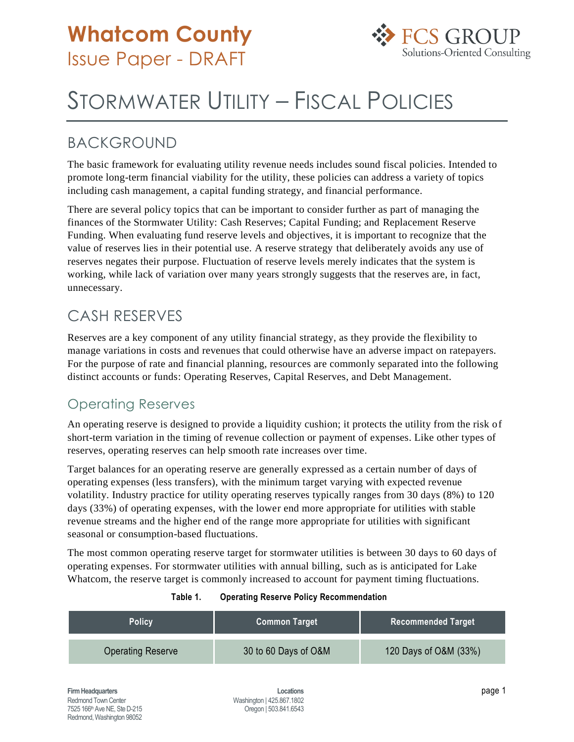

# STORMWATER UTILITY – FISCAL POLICIES

## BACKGROUND

The basic framework for evaluating utility revenue needs includes sound fiscal policies. Intended to promote long-term financial viability for the utility, these policies can address a variety of topics including cash management, a capital funding strategy, and financial performance.

There are several policy topics that can be important to consider further as part of managing the finances of the Stormwater Utility: Cash Reserves; Capital Funding; and Replacement Reserve Funding. When evaluating fund reserve levels and objectives, it is important to recognize that the value of reserves lies in their potential use. A reserve strategy that deliberately avoids any use of reserves negates their purpose. Fluctuation of reserve levels merely indicates that the system is working, while lack of variation over many years strongly suggests that the reserves are, in fact, unnecessary.

# CASH RESERVES

Reserves are a key component of any utility financial strategy, as they provide the flexibility to manage variations in costs and revenues that could otherwise have an adverse impact on ratepayers. For the purpose of rate and financial planning, resources are commonly separated into the following distinct accounts or funds: Operating Reserves, Capital Reserves, and Debt Management.

### Operating Reserves

An operating reserve is designed to provide a liquidity cushion; it protects the utility from the risk of short-term variation in the timing of revenue collection or payment of expenses. Like other types of reserves, operating reserves can help smooth rate increases over time.

Target balances for an operating reserve are generally expressed as a certain number of days of operating expenses (less transfers), with the minimum target varying with expected revenue volatility. Industry practice for utility operating reserves typically ranges from 30 days (8%) to 120 days (33%) of operating expenses, with the lower end more appropriate for utilities with stable revenue streams and the higher end of the range more appropriate for utilities with significant seasonal or consumption-based fluctuations.

The most common operating reserve target for stormwater utilities is between 30 days to 60 days of operating expenses. For stormwater utilities with annual billing, such as is anticipated for Lake Whatcom, the reserve target is commonly increased to account for payment timing fluctuations.

| <b>Policy</b>            | <b>Common Target</b> | <b>Recommended Target</b> |
|--------------------------|----------------------|---------------------------|
| <b>Operating Reserve</b> | 30 to 60 Days of O&M | 120 Days of O&M (33%)     |

#### **Table 1. Operating Reserve Policy Recommendation**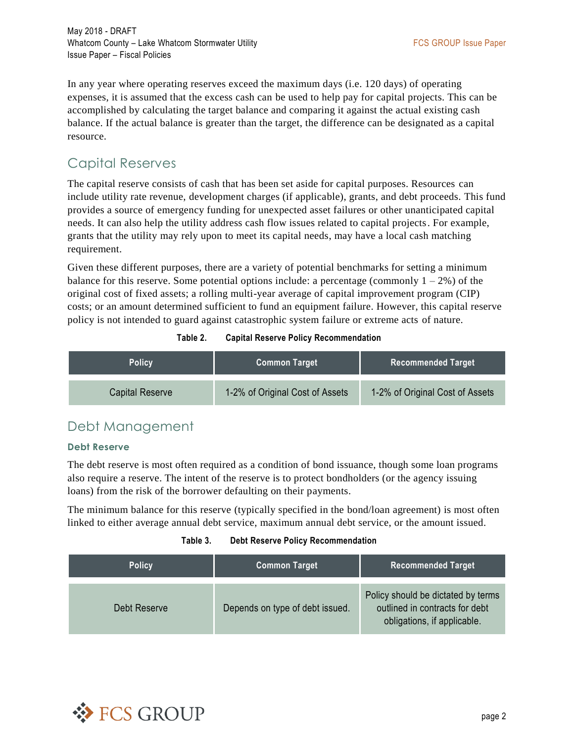May 2018 - DRAFT Whatcom County – Lake Whatcom Stormwater Utility **FACT COUNTS AND THE STATE COUP ISSUE Paper** Version of the Vietnam State Paper Issue Paper – Fiscal Policies

In any year where operating reserves exceed the maximum days (i.e. 120 days) of operating expenses, it is assumed that the excess cash can be used to help pay for capital projects. This can be accomplished by calculating the target balance and comparing it against the actual existing cash balance. If the actual balance is greater than the target, the difference can be designated as a capital resource.

### Capital Reserves

The capital reserve consists of cash that has been set aside for capital purposes. Resources can include utility rate revenue, development charges (if applicable), grants, and debt proceeds. This fund provides a source of emergency funding for unexpected asset failures or other unanticipated capital needs. It can also help the utility address cash flow issues related to capital projects. For example, grants that the utility may rely upon to meet its capital needs, may have a local cash matching requirement.

Given these different purposes, there are a variety of potential benchmarks for setting a minimum balance for this reserve. Some potential options include: a percentage (commonly  $1 - 2\%$ ) of the original cost of fixed assets; a rolling multi-year average of capital improvement program (CIP) costs; or an amount determined sufficient to fund an equipment failure. However, this capital reserve policy is not intended to guard against catastrophic system failure or extreme acts of nature.

| <b>Policy</b>   | <b>Common Target</b>            | Recommended Target              |
|-----------------|---------------------------------|---------------------------------|
| Capital Reserve | 1-2% of Original Cost of Assets | 1-2% of Original Cost of Assets |

#### **Table 2. Capital Reserve Policy Recommendation**

### Debt Management

#### **Debt Reserve**

The debt reserve is most often required as a condition of bond issuance, though some loan programs also require a reserve. The intent of the reserve is to protect bondholders (or the agency issuing loans) from the risk of the borrower defaulting on their payments.

The minimum balance for this reserve (typically specified in the bond/loan agreement) is most often linked to either average annual debt service, maximum annual debt service, or the amount issued.

#### **Table 3. Debt Reserve Policy Recommendation**

| <b>Policy</b> | <b>Common Target</b>            | <b>Recommended Target</b>                                                                           |
|---------------|---------------------------------|-----------------------------------------------------------------------------------------------------|
| Debt Reserve  | Depends on type of debt issued. | Policy should be dictated by terms<br>outlined in contracts for debt<br>obligations, if applicable. |

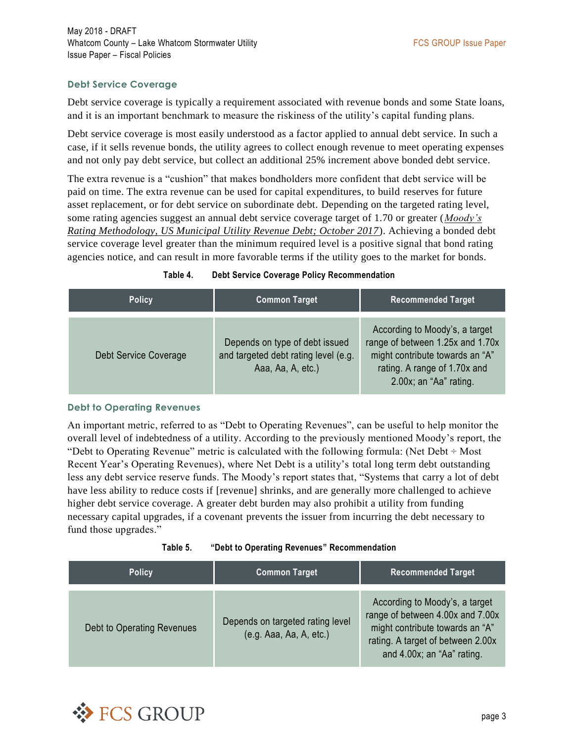#### **Debt Service Coverage**

Debt service coverage is typically a requirement associated with revenue bonds and some State loans, and it is an important benchmark to measure the riskiness of the utility's capital funding plans.

Debt service coverage is most easily understood as a factor applied to annual debt service. In such a case, if it sells revenue bonds, the utility agrees to collect enough revenue to meet operating expenses and not only pay debt service, but collect an additional 25% increment above bonded debt service.

The extra revenue is a "cushion" that makes bondholders more confident that debt service will be paid on time. The extra revenue can be used for capital expenditures, to build reserves for future asset replacement, or for debt service on subordinate debt. Depending on the targeted rating level, some rating agencies suggest an annual debt service coverage target of 1.70 or greater (*Moody's Rating Methodology, US Municipal Utility Revenue Debt; October 2017*). Achieving a bonded debt service coverage level greater than the minimum required level is a positive signal that bond rating agencies notice, and can result in more favorable terms if the utility goes to the market for bonds.

| Table 4. |  |  | <b>Debt Service Coverage Policy Recommendation</b> |
|----------|--|--|----------------------------------------------------|
|----------|--|--|----------------------------------------------------|

| <b>Policy</b>         | <b>Common Target</b>                                                                        | <b>Recommended Target</b>                                                                                                                                       |
|-----------------------|---------------------------------------------------------------------------------------------|-----------------------------------------------------------------------------------------------------------------------------------------------------------------|
| Debt Service Coverage | Depends on type of debt issued<br>and targeted debt rating level (e.g.<br>Aaa, Aa, A, etc.) | According to Moody's, a target<br>range of between 1.25x and 1.70x<br>might contribute towards an "A"<br>rating. A range of 1.70x and<br>2.00x; an "Aa" rating. |

#### **Debt to Operating Revenues**

An important metric, referred to as "Debt to Operating Revenues", can be useful to help monitor the overall level of indebtedness of a utility. According to the previously mentioned Moody's report, the "Debt to Operating Revenue" metric is calculated with the following formula: (Net Debt  $\div$  Most Recent Year's Operating Revenues), where Net Debt is a utility's total long term debt outstanding less any debt service reserve funds. The Moody's report states that, "Systems that carry a lot of debt have less ability to reduce costs if [revenue] shrinks, and are generally more challenged to achieve higher debt service coverage. A greater debt burden may also prohibit a utility from funding necessary capital upgrades, if a covenant prevents the issuer from incurring the debt necessary to fund those upgrades."

| Table 5. |  | "Debt to Operating Revenues" Recommendation |
|----------|--|---------------------------------------------|
|          |  |                                             |

| <b>Policy</b>              | <b>Common Target</b>                                        | <b>Recommended Target</b>                                                                                                                                                |
|----------------------------|-------------------------------------------------------------|--------------------------------------------------------------------------------------------------------------------------------------------------------------------------|
| Debt to Operating Revenues | Depends on targeted rating level<br>(e.g. Aaa, Aa, A, etc.) | According to Moody's, a target<br>range of between 4.00x and 7.00x<br>might contribute towards an "A"<br>rating. A target of between 2.00x<br>and 4.00x; an "Aa" rating. |

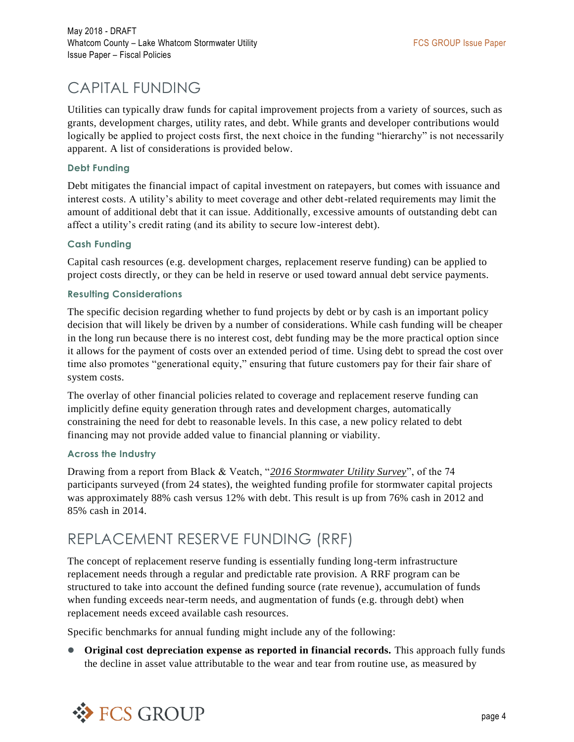# CAPITAL FUNDING

Utilities can typically draw funds for capital improvement projects from a variety of sources, such as grants, development charges, utility rates, and debt. While grants and developer contributions would logically be applied to project costs first, the next choice in the funding "hierarchy" is not necessarily apparent. A list of considerations is provided below.

#### **Debt Funding**

Debt mitigates the financial impact of capital investment on ratepayers, but comes with issuance and interest costs. A utility's ability to meet coverage and other debt-related requirements may limit the amount of additional debt that it can issue. Additionally, excessive amounts of outstanding debt can affect a utility's credit rating (and its ability to secure low-interest debt).

#### **Cash Funding**

Capital cash resources (e.g. development charges, replacement reserve funding) can be applied to project costs directly, or they can be held in reserve or used toward annual debt service payments.

#### **Resulting Considerations**

The specific decision regarding whether to fund projects by debt or by cash is an important policy decision that will likely be driven by a number of considerations. While cash funding will be cheaper in the long run because there is no interest cost, debt funding may be the more practical option since it allows for the payment of costs over an extended period of time. Using debt to spread the cost over time also promotes "generational equity," ensuring that future customers pay for their fair share of system costs.

The overlay of other financial policies related to coverage and replacement reserve funding can implicitly define equity generation through rates and development charges, automatically constraining the need for debt to reasonable levels. In this case, a new policy related to debt financing may not provide added value to financial planning or viability.

#### **Across the Industry**

Drawing from a report from Black & Veatch, "*2016 Stormwater Utility Survey*", of the 74 participants surveyed (from 24 states), the weighted funding profile for stormwater capital projects was approximately 88% cash versus 12% with debt. This result is up from 76% cash in 2012 and 85% cash in 2014.

### REPLACEMENT RESERVE FUNDING (RRF)

The concept of replacement reserve funding is essentially funding long-term infrastructure replacement needs through a regular and predictable rate provision. A RRF program can be structured to take into account the defined funding source (rate revenue), accumulation of funds when funding exceeds near-term needs, and augmentation of funds (e.g. through debt) when replacement needs exceed available cash resources.

Specific benchmarks for annual funding might include any of the following:

 **Original cost depreciation expense as reported in financial records.** This approach fully funds the decline in asset value attributable to the wear and tear from routine use, as measured by

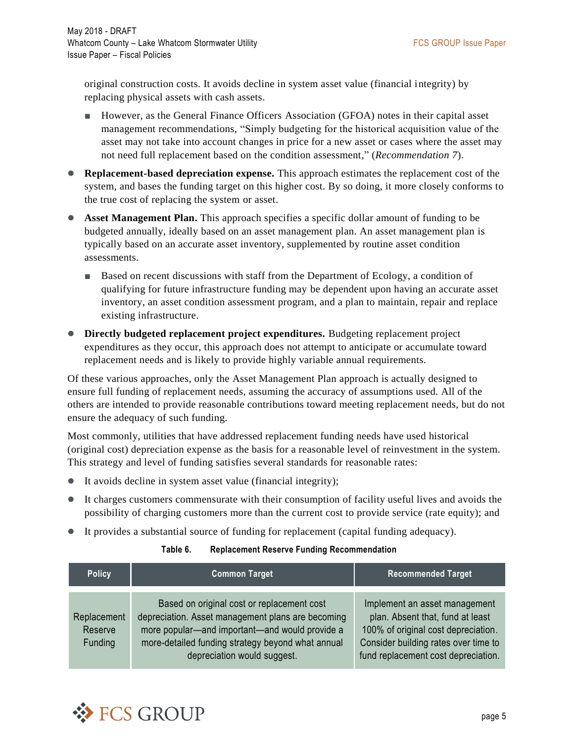original construction costs. It avoids decline in system asset value (financial integrity) by replacing physical assets with cash assets.

- However, as the General Finance Officers Association (GFOA) notes in their capital asset management recommendations, "Simply budgeting for the historical acquisition value of the asset may not take into account changes in price for a new asset or cases where the asset may not need full replacement based on the condition assessment," (*Recommendation 7*).
- **Replacement-based depreciation expense.** This approach estimates the replacement cost of the system, and bases the funding target on this higher cost. By so doing, it more closely conforms to the true cost of replacing the system or asset.
- **Asset Management Plan.** This approach specifies a specific dollar amount of funding to be budgeted annually, ideally based on an asset management plan. An asset management plan is typically based on an accurate asset inventory, supplemented by routine asset condition assessments.
	- Based on recent discussions with staff from the Department of Ecology, a condition of qualifying for future infrastructure funding may be dependent upon having an accurate asset inventory, an asset condition assessment program, and a plan to maintain, repair and replace existing infrastructure.
- **Directly budgeted replacement project expenditures.** Budgeting replacement project expenditures as they occur, this approach does not attempt to anticipate or accumulate toward replacement needs and is likely to provide highly variable annual requirements.

Of these various approaches, only the Asset Management Plan approach is actually designed to ensure full funding of replacement needs, assuming the accuracy of assumptions used. All of the others are intended to provide reasonable contributions toward meeting replacement needs, but do not ensure the adequacy of such funding.

Most commonly, utilities that have addressed replacement funding needs have used historical (original cost) depreciation expense as the basis for a reasonable level of reinvestment in the system. This strategy and level of funding satisfies several standards for reasonable rates:

- It avoids decline in system asset value (financial integrity);
- It charges customers commensurate with their consumption of facility useful lives and avoids the possibility of charging customers more than the current cost to provide service (rate equity); and
- It provides a substantial source of funding for replacement (capital funding adequacy).

#### **Table 6. Replacement Reserve Funding Recommendation**

| <b>Policy</b>                     | <b>Common Target</b>                                                                                                                                                                                                                  | <b>Recommended Target</b>                                                                                                                                                               |
|-----------------------------------|---------------------------------------------------------------------------------------------------------------------------------------------------------------------------------------------------------------------------------------|-----------------------------------------------------------------------------------------------------------------------------------------------------------------------------------------|
| Replacement<br>Reserve<br>Funding | Based on original cost or replacement cost<br>depreciation. Asset management plans are becoming<br>more popular—and important—and would provide a<br>more-detailed funding strategy beyond what annual<br>depreciation would suggest. | Implement an asset management<br>plan. Absent that, fund at least<br>100% of original cost depreciation.<br>Consider building rates over time to<br>fund replacement cost depreciation. |